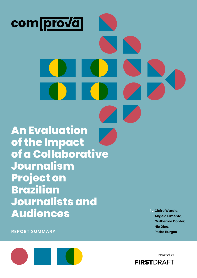

**Guilherme Conter, Nic Dias, Pedro Burgos** 

**REPORT SUMMARY**



Powered by

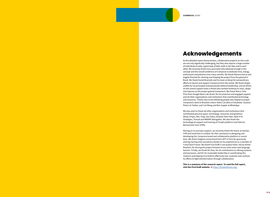## **Acknowledgements**

As this detailed report demonstrates, collaborative projects on this scale are not only logistically challenging, but they also require a large number of individuals to take a giant leap of faith, both in the idea and in each other. We sincerely thank every journalist who believed enough in the concept and the overall ambitions of Comprova to dedicate time, energy, enthusiasm and patience over many months. We thank Adriana Garcia and Angela Pimenta for steering and shaping the project from the ground in Brazil. We thank Daniel Bramatti and his team at Abraji for extraordinary efforts to launch and support Comprova from the outset. We thank Sérgio Lüdtke for his principled and passionate editorial leadership, and all others on the central support team in Brazil who worked tirelessly to react, adapt and improve as the project gained momentum. We thank Marco Túlio Pires from Google News Lab, Brazil, for his proactive and engaged support, and all other organizations and institutions that contributed technology and resources. Thanks also to the following people who helped to propel Comprova's work to Brazilian voters: Maíra Carvalho at Facebook, Gustavo Poloni at Twitter, and Carl Woog and Ben Supple at WhatsApp.

**This is a summary of the research report. To read the full report,**  visit the First Draft website.  $\bullet$  <https://firstdraftnews.org/>

We also want to thank all other organizations and institutions that contributed physical space, technology, resources and guidance: Abraji, Projor, ANJ, Faap, Aos Fatos, Eleições Sem Fake, Ideal H+K Strategies, Textual and RBDMF Advogados. We also thank the technological support and training of Torabit platform and Fabricio Benevenuto from UFMG.

Moving on to overseas support, we sincerely thank the teams at Stacker, CHD and Small Axe in London, for their assistance in designing and developing the Comprova brand and collaborative platform in record time. We thank Grégoire Lemarchard from AFP in Paris for graciously sharing training and consultancy based on his experiences as a member of CrossCheck France. We thank First Draft's core project team, led by Aimee Rinehart, for driving the project forward across time zones and language barriers. Finally, we thank Nic Dias, for his contribution to refining systems and processes, and for his invaluable leadership in coordinating this research and helping First Draft to effectively test, evaluate and continue its efforts to fight disinformation through collaboration.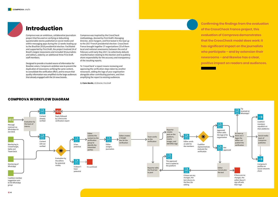

## **Introduction**

Comprova was an ambitious, collaborative journalism project that focused on verifying or debunking questionable stories published on social media and within messaging apps during the 12 weeks leading up to the Brazilian 2018 presidential election. Facilitated and supported by First Draft, the project involved 24 of Brazil's largest newsrooms and included 59 journalists and editors, aided by an additional three First Draft staff members.

Designed to provide a trusted source of information for Brazilian voters, Comprova's ambition was to prevent the duplication of newsrooms verifying the same content, to consolidate the verification effort, and to ensure that quality information was amplified via the large audiences that already engaged with the 24 news brands.

## **Confirming the findings from the evaluation of the CrossCheck France project, this evaluation of Comprova demonstrates that the CrossCheck model does work: it has significant impact on the journalists**

**who participate – and by extension their newsrooms – and likewise has a clear,** 

**positive impact on readers and audiences.**

#### **COMPROVA WORKFLOW DIAGRAM**



Comprova was inspired by the CrossCheck methodology, devised by First Draft's Managing Director, Jenni Sargent, and first tested in the lead up to the 2017 French presidential election. CrossCheck France brought together 37 organizations (33 of them local and national newsrooms) between the end of February until early May 2017, to collectively debunk misinformation relating to the election and to publicly share responsibility for the accuracy and transparency of the resulting reports.

To 'CrossCheck' a report means reviewing and approving the verification steps taken by another newsroom, adding the logo of your organization alongside other contributing partners, and then amplifying the report to existing audiences.

*By* **Claire Wardle***, US Director, First Draft*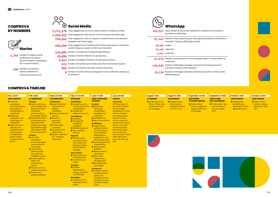• **6 7** •

## **COMPROVA BY NUMBERS**

## **COMPROVA TIMELINE**

#### Nov 13 2017 FIRST MEETING

#### **•** First Draft presentation (CrossCheck legacy and incentives for newsrooms to

1st WORKSHOP **Purpose: •** Decide collectively

- collaborate) **•** Skepticism (competition and unwillingness to collaborate) **•** Eight newsrooms attended; two signalled interest
- in participating in collaborative project to fight misinformation in Brazil

#### **Content: • First Draft**

Feb 2 2018

#### what a collaborative project to monitor and debunk

#### March 12 2018 2nd WORKSHOP **Established: •** Scope (verification and presidential election, crosscheck) **O** Abraji as operationa

#### partner • Grants for participant newsrooms **•** Pro bono legal

- disinformation in Brazil might look like • No decisions about formally signing up took place at the
- meeting, but it gave participants enough information to take back to newsrooms

- presentation (CrossCheck legacy and incentives for newsrooms)
- **•** Fact checking (official sources) and verification (unofficial sources)
- **Brazilian political** media, and disinformation
- outlook **•** Pros and cons of a collaborative project
- **O** Design sprint (project modeling)
- counseling **•** Comprova as the
- project name **•** Signed-in members:
	- UOL, Jornal do Commercio)
		-
- 
- 
- 
- 
- 
- 

| <b>BOOTCAMP</b>             |
|-----------------------------|
| Established:                |
| <b>O</b> Connections and a  |
| trusting relationship       |
| among partners              |
| <b>O</b> Creation of a      |
| deliberative council        |
| <b>Consolidated:</b>        |
| <b>O</b> Guidelines         |
| <b>O</b> Principles for     |
| monitoring                  |
| techniques                  |
| <b>O</b> Workflow processes |
| <b>O</b> How to publish     |
| debunks                     |
|                             |

#### **•** Parties will receive BRL \$1.7 billion from the Electoral Fund for campaigns

- May 27-29 2018 **TRAINING Content: •** Monitoring
- - **Established:**
	-
- 
- **•** Potential policy and cultural issues
- the presidential
- 
- **•** Social media and verification tools
- studies
- representatives
- 

#### **•** European Union did not ask for retaliation to Brazil

**•** Photo in which Bolsonaro aggressor appears next to Lula





- **Mapped:**
- to be explored by bad actors during
- campaign **Tools lessons:**
- **CrossCheck case**
- **Meetings:** • Platform
- (Google, Facebook) and WhatsApp
- **Attendance: • Coalition partners**
- including verifiers, editors

**•** George Soros did not finance movement #nothim against Bolsonaro

**O** Video in which Malafaia criticizes Bolsonaro is from 2017



1.750 Number of original articles published by Comprova partners based on reporting by the Comprova project

146 Number of Comprova reports published on [projetocomprova.com.br](http://projetocomprova.com.br)

## $\overline{O}$ **Social Media** 2,711,578 Total engagements on social media related to Comprova content 1,358,422 Total engagement with content on the Comprova Facebook Page

techniques

#### June 27 2018 ABRAJI PARTNERS (CrowdTangle, NewsWhip, and TweetDeck) **•** Verification test **• Q&A on the coalition O** Comprova five guiding principles: accuracy, fairness and impartiality, June 28 2018 LAUNCH **24 partners**

**Veja** 

independence, transparency, and ethical responsibility **O** Monitoring workflow responsibilities **•** Advisory board guidelines **•** Weekly coalition calls (Zoom) **•** Slack as the coalition team messaging tool **• WhatsApp public** line strategy

**Attendance: • Coalition partners,** including verifiers, editors, and managers who did not attend previous Comprova-related

events

#### AFP Brasil, Band TV, Band News TV, Band News FM, Rádio Bandeirantes, Correio do Povo, O Estado de S. Paulo, Exame, Folha de S.Paulo, Futura, Gaúcha ZH, Gazeta Online, Gazeta do Povo, Jornal do Commercio, Metro Brasil, Nexo Jornal, Nova Escola, NSC Comunicação, O Povo, Poder 360, revista

# piauí, SBT, UOL and

#### August 5 2018 1st DEBUNK

#### August 16 2018 10th DEBUNK

#### September 10 2018 **BOLSONARO** ATTACKER DEBUNK

- 
- for Lula's arrest
	- is a montage



#### September 27 2018 EROTIC BABY BOTTLES DEBUNK

• "Erotic bottle" were not distributed in day care centers by PT

#### October 3 2018 100th DEBUNK

#### October 28 2018

146th DEBUNK



- 754,562 Total engagement with all Comprova-related stories on the partners' Facebook and Twitter pages
- 598,594 Total engagement on Facebook and Twitter when partner newsrooms posted Comprova reports on their social accounts
- 135,000 Number of Comprova's Facebook Page followers
- 18,000 Number of Twitter followers for @comprova
- 3.413 Number of Instagram followers on @projetocomprova
- 573 Number of Facebook and Twitter posts that mentioned Comprova
- 466 Number of Comprova YouTube channel subscribers
- 6 Number of Twitter Moments designed to teach verification techniques to audiences
- **350,567** Total number of interactions between the audience and Comprova journalists on WhatsApp **78, 462** Number of files containing tips and supporting evidence submitted via the public Comprova WhatsApp number **48,488** images **24,345** video files **4,831** audio files **67.870** Number of new tips sent in from the public (doesn't include follow up responses) 108,443 Number of WhatsApp messages sent from the Comprova team to individual members of the audience
- 18.154 Number of messages shared by Comprova journalists in their private WhatsApp group

# **WhatsApp**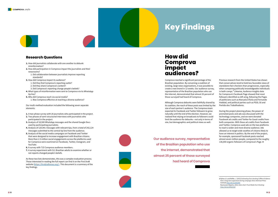## **Research Questions**

- **1.** How did journalists collaborate with one another to debunk misinformation?
- **2.** How did participation in Comprova impact the journalists and their newsrooms?
	- 1. Did collaboration between journalists improve reporting standards?
- **3.** How did Comprova impact its audience?
	- 1. Did they find Comprova's reporting useful?
	- 2. Did they share Comprova's content?
	- 3. Did Comprova's reporting change people's beliefs?
- **4.** What types of misinformation were sent to Comprova via its WhatsApp tip line?
- **5.** Who did Comprova reach via social media?
	- 1. Was Comprova effective at reaching a diverse audience?

Our multi-method evaluation included the following seven separate elements:

- **1.** A two-phase survey with 26 journalists who participated in the project.
- **2.** Two phases of semi-structured interviews with journalists who participated in the project.
- **3.** Analysis of 18,500 WhatsApp messages and the shared Google Docs used by participating journalists.
- **4.** Analysis of 120,941 messages with relevant tips, from a total of 242,124 messages submitted to the central tip line from the audience.
- **5.** Analysis of the social media campaigns on Facebook and Twitter that were designed to increase engagement with Brazilian citizens. More than 2.5 million social engagements across the platforms used for Comprova were examined on Facebook, Twitter, Instagram, and YouTube.
- **6.** A survey with 715 Comprova audience members.
- **7.** A survey experiment with 511 Brazilian adults to examine whether or not reports changed people's beliefs.

During the project planning phase, the power of promoted posts and ads was discussed with the technology companies, and we were donated Facebook ad credits and Twitter for Good credits from both companies. With these ad credits from Facebook and Twitter, Comprova used ads on the two platforms to reach a wider and more diverse audience. Ads allowed us to target wide swathes of citizens likely to have an interest in politics. By the end of the project, for example, sponsored Facebook posts reached almost seven million people, compared to the roughly 136,000 organic followers of Comprova's Page. ►

As these two lists demonstrates, this was a complex evaluation process. Those interested in reading the full report can find it on the First Draft website [\(https://firstdraftnews.org/](https://firstdraftnews.org/)). This document is a summary of the key findings.



# **Key Findings**

**How did Comprova impact audiences?**

Comprova reached a significant percentage of the Brazilian population. By convening a coalition of existing, large news organizations, it was possible to create a new brand in 12 weeks. Our audience survey, representative of the Brazilian population who use the internet, demonstrated that almost 25 percent of those surveyed had heard of Comprova.

Although Comprova debunks were faithfully shared by its coalition, the reach of these posts was limited by the size of each partner's audience. The Comprova team expected its Facebook and Twitter followers to grow naturally until the end of the election. However, we realized that relying on broadcasts to followers could limit the audience for debunks—not only in terms of size, but demographics and political views as well.

Previous research from the United States has shown that conservatives tend to hold less favorable views of standalone fact-checkers than progressives, especially when comparing politically knowledgeable individuals in both camps.**1** Likewise, Audience Insights data for Comprova's Facebook Page showed that most followers identified as left wing, following the Pages of politicians such as Manuela D'Ávila and Fernando Haddad, and political parties such as PSOL 50 and Partido dos Trabalhadores.

**Our audience survey, representative of the Brazilian population who use the internet, demonstrated that almost 25 percent of those surveyed had heard of Comprova**





**<sup>1</sup>** Nyhan, B. and Riefler, J. (2015) *Estimating Fact-checking's Effects Evidence from a long-term experiment during campaign 2014*, American Press Institute <http://bit.ly/2KtejN5> Rasmussen Reports, 2016, *Voters Don't Trust Media Fact Checking*  <http://bit.ly/2MSnFUD>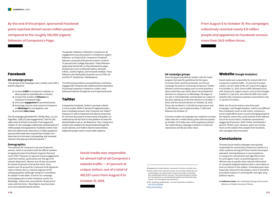**Facebook**

#### **Ad campaign groups**

 Five groups of ad campaigns were created, each with a distinct objective:

- **1.** increase **traffic** to Comprova's website, to allow people to read debunks in entirety;
- **2.** increase the number of **followers** on Comprova's Facebook Page;
- **3.** drive user **engagement** for promoted posts;
- **4.** encourage users to send rumors to Comprova via **WhatsApp** for investigation; and
- **5.** promote **video views**.

The ad campaigns generated 447,728 link clicks, 111,213 Page likes, 2,380,121 post engagements,**2** and 475,109 video views of at least 10 seconds. From August 6 to October 31, the campaigns collectively reached nearly 6.9 million people and appeared on Facebook screens more than 24.5 million times. More than 3.5 million people (52 percent of the total) were reached from October 3 to 7 alone due to an increase in ad spending, and increased interest in the lead-up to the first election.**3**

#### **Demographics**

The audience for Comprova's ads was 53 percent women, which is consistent with the official numbers of registered voters from Brazil's Superior Electoral Court (TSE).**4** However, 61 percent of post engagements came from women, particularly over the age of 45 (almost 38 percent). Women over 45 also accounted for almost 43 percent of all ad link clicks. Since women over 45 account for 23 percent of all registered voters in Brazil, this is a relevant segment of the voting population (although voting isn't mandatory for people 70 and older). If not for our campaign encouraging users to send Comprova rumors via WhatsApp—where men accounted for 59 percent of views and link clicks—these figures may have been even more skewed toward women.

The gender imbalance reflected in Comprova's ad engagements was also present in Comprova's organic followers: as of April 2019, Comprova's Facebook followers consisted of 64 percent women, of which 70 percent had a college education. These followers apparently leaned left, as they followed the pages of politicians such as Eduardo Suplicy, Manuela D'Ávila, Jandira Feghali, and Fernando Haddad. These followers also liked political parties such as PSOL 50 and the PT: Partido dos Trabalhadores.

The left-leaning tendency among followers and those engaged with Comprova ads underscored the importance of pushing Comprova's content to a wider, more balanced audience through the use of sponsored posts.

#### **Twitter**

Compared to Facebook, Twitter's user base in Brazil is much smaller. While 57 percent of registered voters have a Facebook account, only 13 percent use Twitter.**5** However, it's still an important and vibrant community for real-time discussions of news events and politics, as evidenced by the fact that it is the platform of choice for elected leaders such as Jair Bolsonaro. Thus, Comprova's content also needed to be disseminated through this social network, and Twitter's Ads for Good initiative helped the project reach a much wider audience.

#### **Ad campaign groups**

Since the grant provided by Twitter's Ads for Good program had specific guidelines for the types of content that could be promoted, our first ad campaign focused on increasing Comprova's Twitter followers and encouraging users to send questions about what they saw online about the presidential elections to Comprova via WhatsApp. We began to run ads in mid-September and boosted our output in the days leading up to the first election on October 7, 2018, and the second election on October 28, 2018. These ads resulted in 1,120,558 ad impressions and 11,949 follows, out of approximately 17,800 total followers by October 31.

A second, smaller ad campaign was created to increase video views for a media literacy piece that was posted on October 19 to help users verify suspicious content. The media literacy campaign resulted in 113,813 ad impressions and 58,322 video views.

**By the end of the project, sponsored Facebook posts reached almost seven million people, compared to the roughly 136,000 organic followers of Comprova's Page.**

## **From August 6 to October 31, the campaigns collectively reached nearly 6.9 million people and appeared on Facebook screens more than 24.5 million times.**

**Social media was responsible for almost half of all Comprova's website traffic — 47 percent of unique visitors, out of a total of 491,337 users from August 6 to October 31, 2018.**



#### **Website (Google Analytics)**

Social media was responsible for almost half of all Comprova's website traffic—47 percent of unique visitors, out of a total of 491,337 users from August 6 to October 31, 2018. Direct traffic followed social with 18 percent; organic search, such as from Google, totalled 17.5 percent; and referral traffic from other websites like Comprova's partners amounted to only 11 percent of visitors.

While not all social visitors came from paid campaigns, and Google Analytics' metrics are different than Facebook's (such as link clicks), Comprova's social media efforts were crucial to bringing people to the website, where they could read the entire debunk. Out of all social visitors, Facebook represented a staggering 93 percent, while Twitter contributed 4 percent Twitter users, however, spent one minute more on the website than people from Facebook, who averaged only 30 seconds.

## **Conclusions**

The paid social media campaigns were greatly responsible for connecting Comprova's content to a wider audience during the three months the project operated. Gaining followers in social platforms is a long-term commitment and algorithms tend to curb organic reach, so promoting posts is an efficient way to quickly show relevant information to a properly targeted audience that is more likely to have an interest in the subject. Promoted posts were especially relevant for this project, since it strived for journalistic balance in covering left- and right-wing political reports.

By **Guilherme Conter***, MSc in Marketing Strategy and Consumer Behaviour at Federal University of Parana*

**<sup>2</sup>** Engagements include reactions, comments, link clicks, and video views.

**<sup>3</sup>** These numbers have important caveats. First, the total number does not include organic, non-paid numbers. Second, the number is estimated from sampled data and thus not exact. Third, paid and organic numbers can't be combined, as it would duplicate people reac hed by both types of posts. (This also applies to post statistics.)

**<sup>4</sup>** TSE - Estatísticas do eleitorado – Por sexo e faixa etária. Available at: <http://bit.ly/2KXNyQB>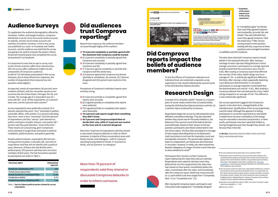## **Audience Surveys**

To supplement the audience demographics offered by Facebook, Twitter, and Google Analytics, Comprova distributed a survey via its own social media accounts, its website, and the social media accounts and websites of coalition members. A link to the survey was published as a 'post' on Facebook and Twitter accounts, and the audience was told that the survey was going to be used to evaluate the project. Nearly 49 percent of participants who completed the survey encountered it via Facebook.

It is important to note that an opt-in survey such as this almost certainly suffers from selection bias. Still, the survey offers additional insight into the composition of Comprova's audience. A total of 715 individuals participated in the survey. (However, due to drop-off and non-responses, the number of respondents that answered any one question varied slightly.)

As expected, nearly all respondents (92 percent) were residents of Brazil, with the remainder spread across countries like the United States, Portugal, the UK, and Canada. The average age of a respondent was 42.1 years old (SD = 15.0). Of the respondents, 53.2 percent were men, and 44.5 percent were women.**6**

- 81.5 percent completely or partially agreed that Comprova was accurate.
- 76.4 percent completely or partially agreed that Comprova was fair.
- 77.9 percent agreed completely or partially that Comprova told the whole story.
- 31.9 percent agreed that Comprova was biased (partially or completely). By contrast, 29.7 percent disagreed and 30.6 percent were neutral on the issue.

Survey respondents were politically involved: 81.0 percent reported they were "very" interested in politics and public affairs, with another 15.2 percent indicating they were "more or less" interested. A full 59.6 percent of respondents said they "always" paid attention to politics and topics of public interest, and another 28.7 percent said they paid attention "most of the time." These results are unsurprising, given Comprova's active attempts to target those interested in political candidates, political parties, and politics generally.

- 81.4 percent partially or completely agreed that reports were accurate.
- 81.0 agreed partially or completely that reports were authentic.
- 78.0 agreed partially or completely that reports were believable.
- **78.4 percent said reports taught them something they didn't know.**
- **40.4 percent said Comprova helped them to decide their vote, while 27.4 percent was neutral on the issue and 32.2 percent disagreed.**

Despite political interest, respondents did not have strong partisan loyalties. A plurality (28.1 percent) of respondents said they did not identify with a political party. Moreover, of those who did identify with a political party, 83.8 percent said they were not active members of their party. The top five parties reported by participants are listed in Table 1.

## **Did audiences trust Comprova reporting?**

Beyond mere exposure, the audience members surveyed thought highly of the coalition:

> **9** Questions were pulled from Meyer (1988). The scale's Cronbach's alpha value was acceptable ( $\alpha$  = .80).

• **79.6 percent completely or partially agreed with the statement that Comprova could be trusted.**

Perceptions of Comprova's individual reports were similarly strong:

> Participants then viewed a written Comprova report addressing the video they had just watched. Respondents were asked to rate how much they believed the core fact supported by the video they had viewed at three points: immediately before the video, immediately after the video, and immediately after the Comprova report. Belief was measured with an 11-point belief scale that ranged from "Completely false" (1) to "Completely true" (11).

More than 70 percent of respondents said they shared or discussed Comprova debunks in order to inform someone. A majority of these conversations were with family, friends, and colleagues—with 41.3 percent reporting having talked to friends, 27.6 percent to family, and 18.8 percent to colleagues.

**More than 70 percent of respondents said they shared or discussed Comprova debunks in order to inform someone.**



## **Did Comprova reports impact the beliefs of audience members?**

**6** The rest preferred not to report their sex or selected "Other."

- **7** Participants were recruited via Lucid, an online panel company that computationally compiles participants from several online panels and approximates representative samples using standard quota sampling techniques. Demographic information available here: [http://bit.](http://bit.ly/2WEUkNJ) [ly/2WEUkNJ](http://bit.ly/2WEUkNJ). Five participants dropped off before the end of the survey. Their responses were retained.
- **8** The conclusion of the first report was unfavorable to Bolsonaro, whereas the conclusion of the second was favorable to him. As importantly, the first report confirmed the suspect content, whereas the other corrected the suspect content. Ideally, the stimuli would also have included pro-Haddad and anti-Haddad debunks. However, Comprova only verified a handful of claims explicitly referencing Haddad.

**10** Swire et al. (2017)



## **Research Design**

A sample of 511 Brazilian adults**7** viewed (1) a suspect piece of social media content that circulated widely during the 2018 Brazilian federal elections and then (2) a relevant report produced by Comprova.

Respondents began the survey by indicating their party affiliation and political ideology. They also specified whether they would vote for Fernando Haddad or Jair Bolsonaro if the second round of the federal election were held today. Based on their answer to this last question, participants were block-randomized to view one of two videos. The first video consisted of a montage of news reports describing three of Jair Bolsonaro's (real) convictions in civil court for insensitive, racist and homophobic comments. The second video appears to depict an independent, pro-Bolsonaro demonstration in Jerusalem. However, in reality, the video showed the Brazilian delegation of a larger Christian march intended to show solidarity for Israel.**8**







to "Completely agree" to indicate how much they agreed Comprova was trustworthy, accurate, fair, and biased. They also indicated how much they agreed Comprova "told the whole story."**9** After reversescoring answers to the question dealing with bias, responses to these questions were averaged to produce

a credibility score for Comprova.

The data show that both Comprova reports moved beliefs in the expected direction. After viewing a montage of news clips describing Bolsnaro's moral outrage convictions, participants on average reported tentative belief that the convictions were real  $(M =$ 6.82). After reading a Comprova report that affirmed the core fact of the video, belief ratings rose to an average of 7.24—a statistically significant difference. Similarly, after viewing a video supposedly depicting a pro-Bolsonaro demonstration in Jerusalem, participants on average reported a timid belief that the demonstration was real ( $M = 6.81$ ). After reading a Comprova debunk that contradicted this claim, belief ratings dropped to an average of 5.50. This difference is also statistically significant.

Our survey experiment suggests that Comprova's reports, in the short term, changed beliefs at the individual level. Qualifications of the survey experiment must be noted. Although the approach of asking participants in correction experiments to rate beliefs multiple times has been used before,10 this design may be vulnerable to demand characteristics. In other words, participants may have rated their beliefs as having changed because they thought they should—not because they in fact did.

By **Nic Dias***, Shorenstein Center for Media, Politics and Public Policy, Harvard Kennedy School*

• **Snapshots of the report stimuli used in the survey experiment.**

| <b>POLITICAL PARTY</b>                | <b>PERCENTAGE</b><br><b>IDENTIFY</b> |
|---------------------------------------|--------------------------------------|
| Partido dos Trabalhadores (PT)        | 18%                                  |
| Partido Social Liberal (PSL)          | 12.6%                                |
| Partido Socialismo e Liberdade (PSOL) | 11.6%                                |
| Partido Novo (NOVO)                   | 8.7%                                 |
| Partido Democratico Trabalhista (PDT) | 7.5%                                 |

Table 1**. Top five federal political parties claimed by survey respondents.** 

To test the efficacy of Comprova's debunks at an individual level, we conducted a separate survey experiment in the months following the second round of the 2018 Brazilian federal elections.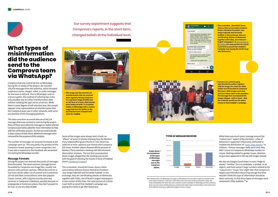**Our survey experiment suggests that Comprova's reports, in the short term, changed beliefs at the individual level.**





## **What types of misinformation did the audience send to the Comprova team via WhatsApp?**

Comprova had one central tip line on WhatsApp. During the 12 weeks of the project, we received 105,078 messages from the audience, which included suspicious claims, images, video, or audio messages for the team to debunk. Due to WhatsApp's end-toend encryption, this method of soliciting tips is the only possible way to collect misinformation data without violating the app's terms of service. While there is some degree of self-selection bias, the sample appears to be representative of misinformation that the Comprova team saw in other networks, with some peculiarities of the messaging platform.

This data came from an overall data set of 242,124 messages that were received or sent during the project. Many of these were welcome messages or replies wherein Comprova journalists asked for more information to help with the verification process. So that we could evaluate a clean corpus of data, these additional messages were removed for the purposes of this analysis.

The number of messages we received increased as the campaign went on. This was partly a by-product of the Comprova 'brand' growing in name recognition, but it was also a response to the Facebook ads we posted circulating the WhatsApp number.

#### **Message Formats**

During the project we received thousands of messages from the public. The most common message format forwarded to Comprova was image files, usually real pictures with partisan captions. Official documents or real news stories taken out of context and screenshots (of real and false conversations) were also popular. Classic memes, with a big text overlay were less common in Comprova's database, possibly because as propaganda or humorous pieces they don't purport to be true, so are less debunkable.

Some of the images were always sent in bulk: an "album" of some 10 photos showing how the Workers' Party helped leftist governments in Latin American (with hit-or-miss captions) was shared with Comprova 225 times. Another album showed official pictures of Workers' Party members meeting with OEA electoral observation missions. The text that accompanied those images alleged that the meeting was secret, with the goal of cheating the results in favor of Haddad (here's [Comprova's report](http://bit.ly/2ZyopQk)).

This screenshot, shared 663 times, shows a false conversation between former Petrobras President Jose Sergio Gabrielli and Fernando Haddad. In the exchange, they are coordinating attacks on Bolsonaro together with Folha, one of Brazil's largest newspapers. In one version of this hoax, the same picture of a check is put forth as proof that Haddad's campaign was paying the media to go after Bolsonaro.







• **This image was the one piece of misinformation that we received most regularly during Comprova. It's a genuine image of ballot box on the back of a truck, that had not been tampered with. It circulated widely on WhatsApp with a rumour suggested that the ballots in the box had been pre-stamped with votes for Haddad.**

• **A picture of a criminal gang apprehended by police, together with the image of a check for R\$68 million was forwarded to Comprova 862 times. Both images were real, and were taken close to the elections. The message that accompanied the images alleged—with no basis—that the criminals would use the stolen money to fund Haddad's campaign.**

• **This screenshot, shared 663 times, shows a false conversation between former Petrobras President Jose Sergio Gabrielli and Fernando Haddad. In the exchange, they are coordinating attacks on Bolsonaro together with Folha, one of Brazil's largest newspapers. In [one version of](http://bit.ly/2Krmw4F)  [this hoax](http://bit.ly/2Krmw4F), the same picture of a check is put forth as proof that Haddad's campaign was paying the media to go after Bolsonaro.**



While there was much press coverage around the "culture wars" aspect of the elections—a few of Bolsonaro's supporters infamously attributed to Haddad the distribution of "[erotic baby bottles](https://bloom.bg/2XYEbUq)" to children—if these messages really went viral, they didn't arrive at Comprova's WhatsApp number en masse. Nothing related to gender issues, abortion, or gun laws appeared in the top 200 images shared.

We also ran Google Cloud Vision in every image to extract "entities" (be it a candidate, a symbol, or an object), and there weren't large numbers related to the "culture wars" issues. One might infer that Comprova's tippers were therefore discerning enough that they wouldn't think this type of information should be taken seriously, or that these types of messages were contained in filter bubbles.**11** •

**11** As noted earlier, the WhatsApp messages in this dataset were sent from audience members who knew about Comprova. They were more likely to be consumers of the mainstream media. We know anecdotally that there was more extreme content available on WhatsApp, but the Comprova team was very aware of debunking any content that hadn't been shared widely, as the publication of the debunk would give additional oxygen to those rumours

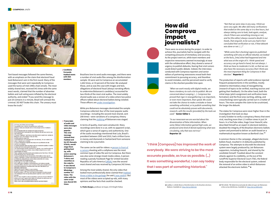

There were no errors during the project. In order to achieve this, journalists had to navigate with the competing pressures of immediacy and accuracy. As the project went on, while team members and respective newsrooms seemed increasingly at ease with the collaborative effort, they shared a sense of urgency to publish debunks, fearing that viral rumors could distort public debate. Indeed, the interviews conducted with Comprova reporters and senior editors of partnering newsrooms reveal both their commitment to pursuing accuracy, and therefore to avoid mistakes, and the perceived need to verify claims in the shortest possible time span.

*"When we work mostly with digital media, we have a tendency to rush a lot to publish. We are concerned about scooping (...). Comprova has proved that rigor in newsgathering is as important, or even more important, than speed. We could not take the chance to make a mistake or leave something unfinished, or to publish something that could not be absolutely proven with documents, research, with the results [provided] by the tools we used."* **Senior Editor 1**

*"In our newsroom we are worried about the dissemination of false information. When some [false] information gained high scale, we produced some kind of denial explaining what was circulating, why that was not true."*  **Reporter 10**

*"Not that we were slow in any way, I think we were very agile. We often did many verifications that ended on the same day or in a few hours, but always taking care to look, look again, analyze, check if there was something missing or not, and he [the editor] always caused a doubt in our heads, that anguish, to be sure you had in fact concluded that verification or not, if that debunk was done or not. (...)"*

*"While some [fact-checking] agencies published something with only an official rebuttal, we looked at the facts, [into] what had happened and into what was at the origin of it. I think speed and accuracy can go hand in hand, but not always. I think we have to moderate it a bit, so that we can also have the necessary accuracy that I think was the most important thing for Comprova in that election."* **Reporter 2**

Brazilians love to send audio messages, and there were a number of viral audio files among the disinformation sample: 30 were sent to Comprova an accumulated 1,642 times, or 33 percent of the total. We analyzed those, and as was the case with images and text, allegations of electoral fraud (always narrating efforts to undermine Bolsonaro's candidacy) accounted for two-thirds of the most viral audios. The most widely shared audio was a version of a video where two police officers talked about electoral ballots being violated. Those officers are *under investigation*.

The production of reports with solid evidence injected frequent postponements in the workflow, mostly related to intermediary steps of newsgathering (research of topics to be verified, reaching sources and getting their feedback). On the other hand, both the initial steps (pitch assignment and verification team formation) and the final ones (writing, editing, and crosschecking) were typically carried out in a matter of hours. The more complex the claim to be scrutinized, the longer the debunk.

The stakes for Comprova were never higher than in the investigation that took six days in early October to verify a conspiracy theory that went viral, reaching more than 1.5 million views in just 24 hours. In a YouTube video, Hugo Cesar Hoeschl, who described himself as an expert in electoral statistics, doubted the integrity of the Brazilian electronic ballots system and promised to deliver an audit based on a mathematical equation known as Benford's law.**12**

The same can be said for videos: a person in front of [a camera](http://bit.ly/2Isd2E5) shooting with a cellphone was the most common type of video file sent to Comprova. But there was also some strange mixed-media videos. A person reading a parody Facebook Page for United Socialist Republics of Latin America [\(URSAL\)](http://bit.ly/2IRvK6Z) was the second most shared and was received by Comprova 242 times. A common theme in the campaign, alleged electronic ballots fraud, resulted in 15 debunks published by Comprova. The attempts to discredit the electoral system were largely produced by Jair Bolsonaro supporters, including Hoeschl, and shared by the candidate himself. Troubled about the constant attacks against its credibility, on the eve of the runoff the Superior Electoral Court (TSE), the federal body responsible for the electoral system, ordered the removal of an online video in which Bolsonaro attacked the electronic ballots.**13** •



Text-based messages followed the same themes, with an emphasis on the claim that electoral fraud took Bolsonaro's win in the first round. Many of the messages that were sent repeatedly to Comprova used the tactics of mid-1990s chain emails. The most widely shared text, received 541 times with the same exact words, claimed that the number of absentee ballots and null voting were inflated by the electoral authority, and ended "if you send this message to just 20 contacts in a minute, Brazil will unmask this criminal. DO NOT brake this chain. The unwary must know the truth."

- O PT tem uma última carta na manga.<br>Compartilhe com o máximo de pessoas que você puder.<br>Faltando 3 dias para eleições terá um falso ataque contra o Haddad e
- Eles se deixarão bater de verdade até causar ematomas. Esses hematomas e para garantir que a hipótese de que seja mentira seja logo rechacada.
- logo recnaçada.<br>O suposto "agressor" será Branco dos olhos azuis e usará uma camisa do<br>Bolsonaro com uma suástica e foto de Hitler. As Mídia cobrirá o caso 24h.
- no municipal rosto a ser mostrado será o de Manuela, Por ser mulher e ter<br>menos rejelção que o Haddad.<br>O caso é colocado em segredo de justiça com a justificativa de não
- interferir nas eleicões.
- nuevam nuo suevoco.<br>O suposto agressor ainda vai alegar que fez a mando do capitão e recebeu<br>ameaça de morte como queima de arquivo.<br>Uma manifestação #elenão acontecerá no sábado, essa manifestação vai ter o mesmo número da primeira, mas a mídia divulgará como a maio
- en o masimiento de história.<br>Todo e qualquer questionamento será rotulado como Fake News (Por isso<br>estão Martelando essa narrativa 24h.)
- estado mar televido esta narrativa zen.<br>O povo, já sabendo do que vai acontecer, não mudara o voto, mas no<br>sábado o Datafolha e o Ibope colocarão,de forma manipulada,51% a 49%<br>pro Bolsonaro, alegando que o povo estava como
- causando assim um empate técnico.
- No domingo as urnas serão manipuladas.<br>51% a 49% para o Haddad, e na mesma hora, e em todos os canais,<br>analistas políticos vão dizer que é normal a vitória pela comoção com a agressão, e questionar o resultado das urnas com Fake News é um atendado a democracia.
- 
- acenado a democrada.<br>Depois não da para imaginar o que acontece.<br>Divulgue o máximo que puder,enquanto ainda é tempo.<br>Se não acontecer, o PT ficou com medo do vazamento do plano causar uma indignação maior do que eles possam suportar, e atrair a fúria do
- exercito.<br>Se o PT tiver coragem e colocar em prática, o povo já vai estar sabendo, e poderá partir para a guerra.\n\nO plano foi colocado em público por un rapaz (tem um vídeo circulando na internet). odo o resto são os desdobramentos naturais que isso tomaria.

• **Candidate Fernando Haddad meets with OEA** 

**members.**

While pro-Bolsonaro messages dominated the sample Comprova collected, four of the most popular audio recordings—including the second most shared, sent 208 times—were variations of a conspiracy theory claiming that the [stabbing](https://bbc.in/2IqUfZB) of Bolsonaro was staged.

In terms of quality, most were amateurish. Many recordings were done in a car, with no apparent script, which gave a sense of urgency and authenticity. One of the audio recordings mentioned that Lula, Brazil's president between 2003 and 2010, had a trillion Euros in money and diamonds in Switzerland from someone claiming to be a journalist.

Among the most widely shared, the only video that looked more professionally done claimed that [Haddad](http://bit.ly/2Rookft)  [threw a bible in the garbage](http://bit.ly/2Rookft) (he said [it was stolen](https://bzfd.it/2N0BW1G)). But most of the videos were scripted op-eds, with many opinions and few facts that could be checked.

By **Pedro Burgos***, professor at Insper, ICFJ Knight Fellow*

**"I think [Compova] has improved the work of everybody. We were striving to be the most accurate possible, as true as possible. (...) It was something wonderful, I can say today that I was part of something historical."**

• **Transcripts of audio and video messages were also popular. This viral message claimed that Haddad and his VP, Manuela D'Ávila, would stage them getting beat up, with actors wearing Bolsonaro's T-shirts and swastikas as the culprits. It was shared to Comprova's WhatsApp number 217 times. The video with the same script was shared 445 times.**

**<sup>12</sup>** Lüdtke, S. (2018) *Waves of disinformation in the Brazilian elections.* Medium. Available at: <http://bit.ly/2IQU9JQ>

**<sup>13</sup>** TSE (2018). TSE determina exclusão de vídeo em que Jair Bolsonaro critica urnas eletrônicas. Available at: <http://bit.ly/2WOmA01>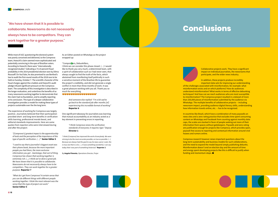While most of UGC questioning the electoral system was poorly conceived and delivered, to the Comprova team, Hoeschl's claim seemed more sophisticated and potentially convincing in the eyes of Brazilian voters. According to Hoeschl, there were "internationally recognized studies" indicating a 73.14 percent fraud probability in the 2014 presidential election won by Dilma Rousseff. On YouTube, he also promised to use Benford's law to audit the first-round results of the 2018 race to be held on Sunday, October 7. The scientific character of the fraud charges against the e-ballots and Hoeschl's audit pledge infused significant pressure on the Comprova team. The complexity of this investigation is described in the longer evaluation, and underlines the benefits of so many newsrooms working together to demonstrate that the claim had no foundation, and to amplify reporting at its conclusion. This type of a deeper collaborative investigation provides a model for making these types of projects sustainable over the the long term.

I think we can consider this phase closed. (…) I would like to thank you very much, a determined team, with a spirit of collaboration such as I had never seen, that always sought to find the truth of the facts, which abstained from manifesting itself politically in such a sensitive moment of the Brazilian life to guarantee the project's credibility, and did not generate a single conflict in more than three months of work. It was a great pleasure working with you all. Thank you so much for everything. 0000000000000000

The experience of working for Comprova was largely positive. Journalists believed that their participation provided short- and long-term benefits in verification skills learning, professional morale boost, and editorial standards improvements. Here are some quotes from reporters who were interviewed during and after the project:

*"[Comprova's] greatest impact is the apprenticeship of tools and the perception of the importance of this type of specific verification. (…)"* **Senior Editor 5**

*"I used to say that a journalist's biggest asset was their phone book, because the more important people you had there, the more exclusive information you got – backstage, that sort of thing. Comprova has shown that working together is extremely rich. (...) I think we've done a great job. We have shown that it is possible to collaborate. Newsrooms do not necessarily always have to be competitors. They can work together for a greater purpose.* **Reporter 7**

*"What do I get from Comprova? A certain sense that you can do different things with different people working together. I think the most relevant was the sense that this type of project can work."*  **Senior Editor 5**

As an Editor posted on WhatsApp as the project wrapped up:

#### "Compro **V**ers, Debunkillers,

Comprova research however raises important questions about the long-term sustainability and business models for such collaborations, and the need to expand the model beyond simply publishing debunks. Misinformation doesn't end on election day and the amount of time and energy spent developing projects like this is difficult to justify when funding and momentum stops.  $\blacksquare$ 

*And someone else replied: "I'm a bit sad to go back to the standard job after months [of] experiencing this incredible format of working"*  **Reporter 6**

One significant takeaway for journalists was learning that mutual accountability as an industry acted as a key element in preventing errors in reporting.

> *"I think Comprova raises the verification standards of everyone; it requires rigor." Deputy*  **Director 1**

*"I think [Compova] has improved the work of everybody. We were striving to be the most accurate possible, as true as possible. (...) Because we always had the goal to say [to news users]: Look, this is true; but that is a lie. (...) It was something wonderful, I can say today that I was part of something historical."* **Reporter 2**

By **Angela Pimenta***, Operations Director, Projor*



Collaborative projects work. They have a significant impact on individual journalists, the newsrooms that participate, and the wider news industry.



In addition, these projects produce incredibly important data sets for improving our understanding of the challenges associated with misinformation, for example: what misinformation exists and on which platforms? How do audiences understand misinformation? What works in terms of effective debunking techniques? And how can we reach audiences who are most susceptible to misinformation? The Comprova project resulted in a dataset of more than 250,000 pieces of misinformation submitted by the audience via WhatsApp. The multiple benefits of collaborative projects -- including newsroom impact, providing audience digital literacy skills, understanding how information travels online, etc. -- has to be recognized.

In countries like Brazil, which have a combination of many paywalls on news sites and a zero-rating practice that excludes time spent consuming content on WhatsApp and Facebook from counting against monthly data caps, the scales are stacked in favor of people seeking out more of their information from spaces without gatekeepers. Paywalls and zero-rating are justification enough for projects like Comprova, which provides open, paywall-free access to reporting and contextual information around viral hoaxes and rumors online.

**"We have shown that it is possible to collaborate. Newsrooms do not necessarily always have to be competitors. They can work together for a greater purpose."**

## **Conclusions**